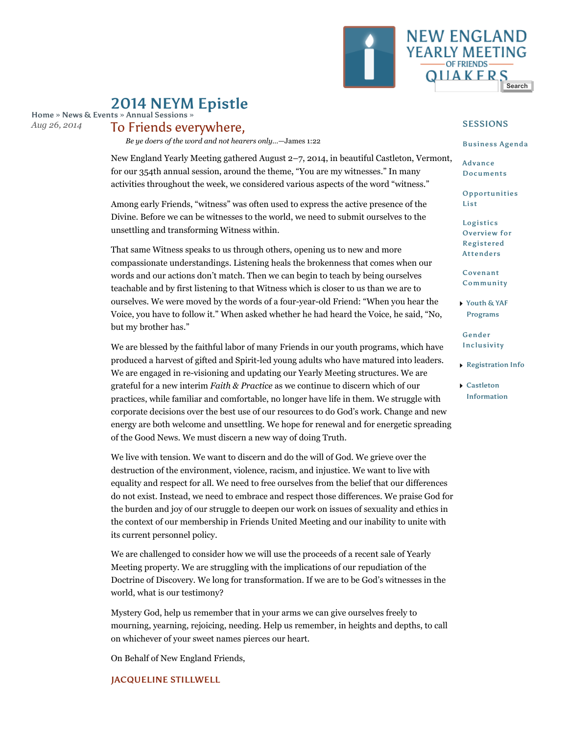

# 2014 NEYM Epistle

Home » News & Events » Annual Sessions » *Aug 26, 2014*

## To Friends everywhere,

*Be ye doers of the word and not hearers only…*—James 1:22

New England Yearly Meeting gathered August 2–7, 2014, in beautiful Castleton, Vermont, for our 354th annual session, around the theme, "You are my witnesses." In many activities throughout the week, we considered various aspects of the word "witness."

Among early Friends, "witness" was often used to express the active presence of the Divine. Before we can be witnesses to the world, we need to submit ourselves to the unsettling and transforming Witness within.

That same Witness speaks to us through others, opening us to new and more compassionate understandings. Listening heals the brokenness that comes when our words and our actions don't match. Then we can begin to teach by being ourselves teachable and by first listening to that Witness which is closer to us than we are to ourselves. We were moved by the words of a four-year-old Friend: "When you hear the Voice, you have to follow it." When asked whether he had heard the Voice, he said, "No, but my brother has."

We are blessed by the faithful labor of many Friends in our youth programs, which have produced a harvest of gifted and Spirit-led young adults who have matured into leaders. We are engaged in re-visioning and updating our Yearly Meeting structures. We are grateful for a new interim *Faith & Practice* as we continue to discern which of our practices, while familiar and comfortable, no longer have life in them. We struggle with corporate decisions over the best use of our resources to do God's work. Change and new energy are both welcome and unsettling. We hope for renewal and for energetic spreading of the Good News. We must discern a new way of doing Truth.

We live with tension. We want to discern and do the will of God. We grieve over the destruction of the environment, violence, racism, and injustice. We want to live with equality and respect for all. We need to free ourselves from the belief that our differences do not exist. Instead, we need to embrace and respect those differences. We praise God for the burden and joy of our struggle to deepen our work on issues of sexuality and ethics in the context of our membership in Friends United Meeting and our inability to unite with its current personnel policy.

We are challenged to consider how we will use the proceeds of a recent sale of Yearly Meeting property. We are struggling with the implications of our repudiation of the Doctrine of Discovery. We long for transformation. If we are to be God's witnesses in the world, what is our testimony?

Mystery God, help us remember that in your arms we can give ourselves freely to mourning, yearning, rejoicing, needing. Help us remember, in heights and depths, to call on whichever of your sweet names pierces our heart.

On Behalf of New England Friends,

#### JACQUELINE STILLWELL

### SESSIONS

#### Business Agenda

Advance Documents

Opportunities List

Logistics Overview for Registered Attenders

Covenant Community

Youth & YAF Programs

Gender Inclusivity

- Registration Info
- Castleton Information